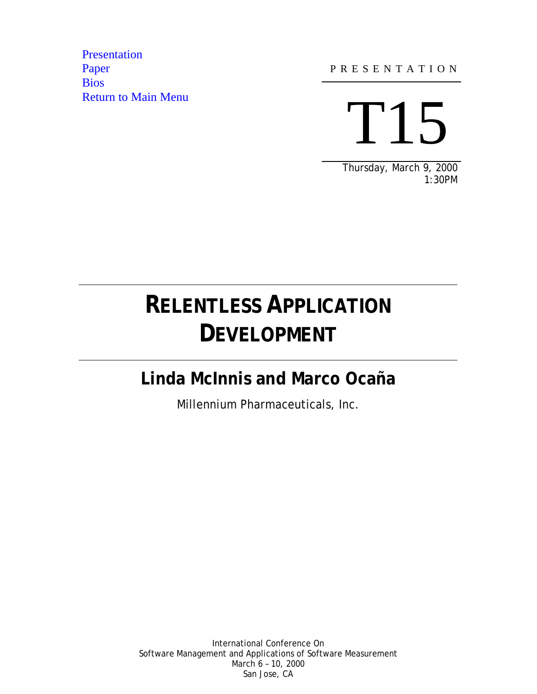**Presentation** [Paper](#page-19-0) **[Bios](#page-29-0)** Return to Main Menu

l

 $\overline{a}$ 

P R E S E N T A T I O N

T15

Thursday, March 9, 2000 1:30PM

### **RELENTLESS APPLICATION DEVELOPMENT**

### **Linda McInnis and Marco Ocaña**

Millennium Pharmaceuticals, Inc.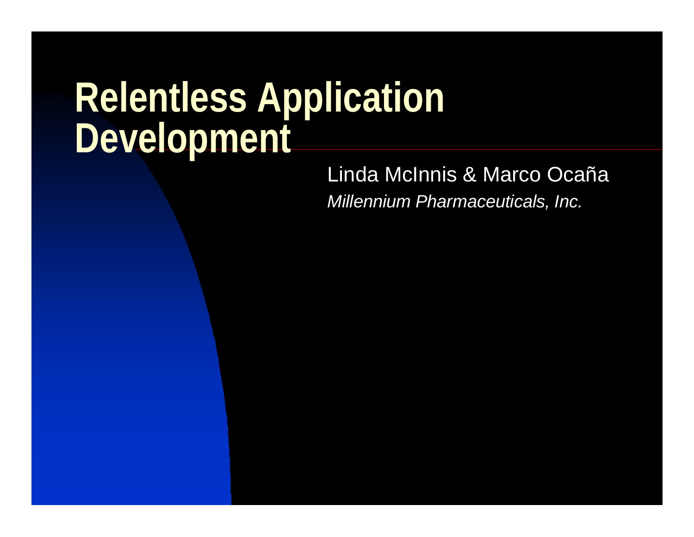## <span id="page-1-0"></span>**Relentless Application Development**

Linda McInnis & Marco Ocaña *Millennium Pharmaceuticals, Inc.*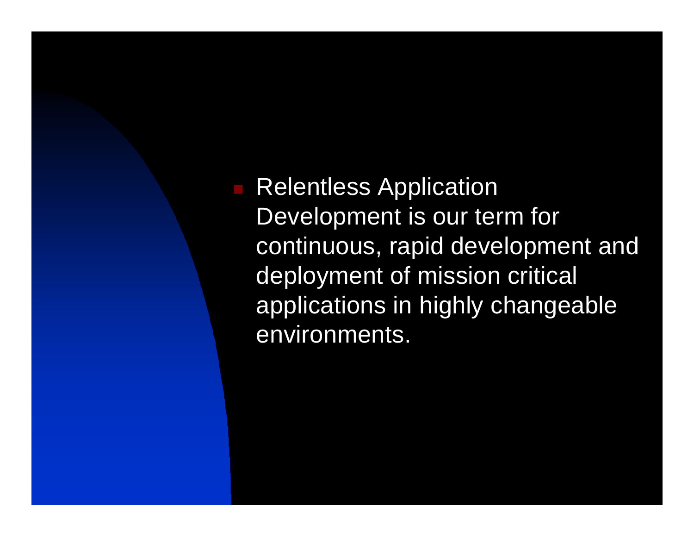**Relentless Application** Development is our term for continuous, rapid development and deployment of mission critical applications in highly changeable environments.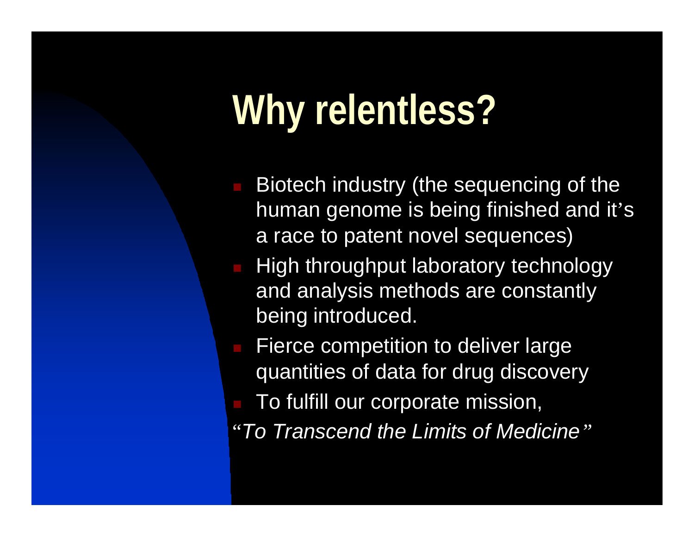# **Why relentless?**

- Biotech industry (the sequencing of the human genome is being finished and it's a race to patent novel sequences)
- High throughput laboratory technology and analysis methods are constantly being introduced.
- Fierce competition to deliver large quantities of data for drug discovery
- To fulfill our corporate mission,
- "*To Transcend the Limits of Medicine"*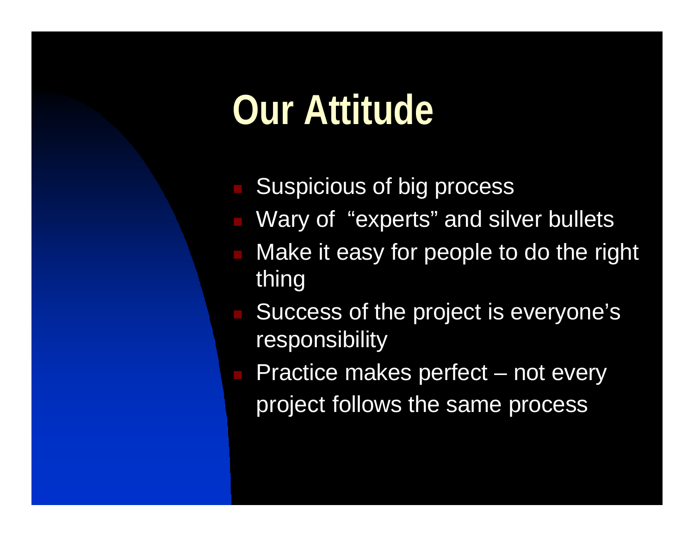## **Our Attitude**

- Suspicious of big process
- Wary of "experts" and silver bullets
- Make it easy for people to do the right thing
- Success of the project is everyone's responsibility
- Practice makes perfect not every project follows the same process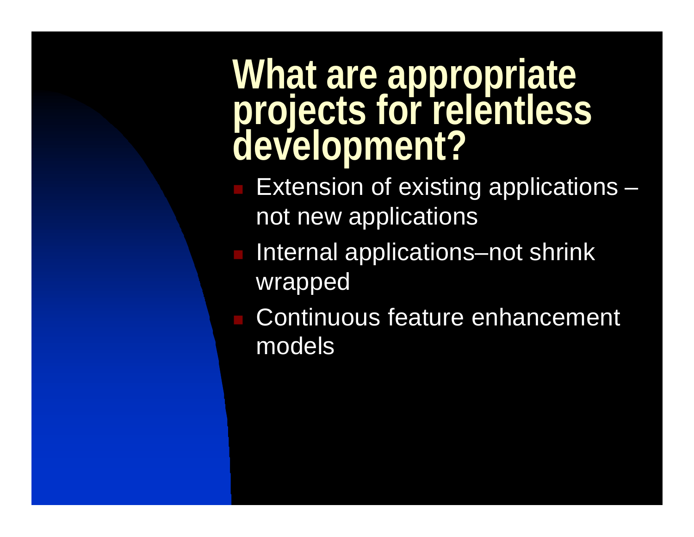### **What are appropriate projects for relentless development?**

- $\blacksquare$  Extension of existing applications  $\blacksquare$ not new applications
- Internal applications–not shrink wrapped
- **n Continuous feature enhancement** models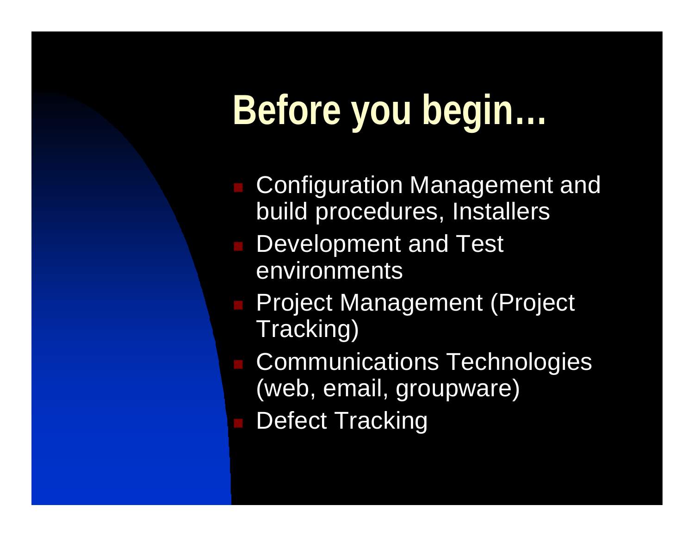# **Before you begin…**

- **Configuration Management and** build procedures, Installers
- Development and Test environments
- **n Project Management (Project** Tracking)
- **Communications Technologies** (web, email, groupware)
- Defect Tracking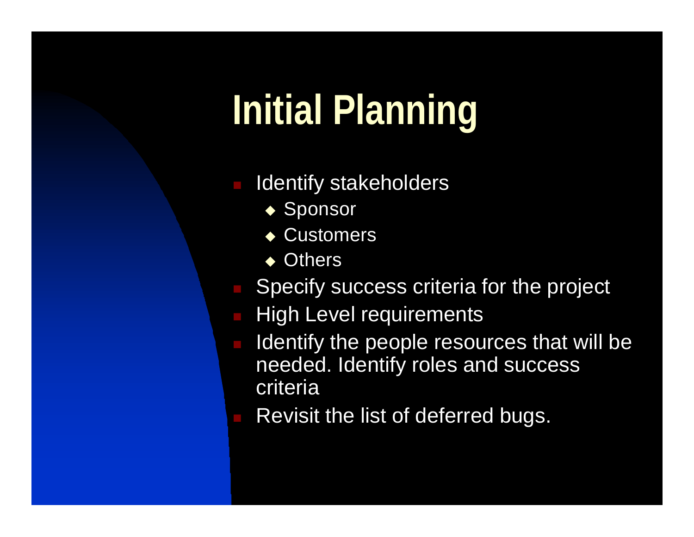# **Initial Planning**

- Identify stakeholders
	- $\overline{\bullet}$  Sponsor
	- $\triangle$  Customers
	- $\triangle$  Others
- Specify success criteria for the project
- **High Level requirements**
- Identify the people resources that will be needed. Identify roles and success criteria
- Revisit the list of deferred bugs.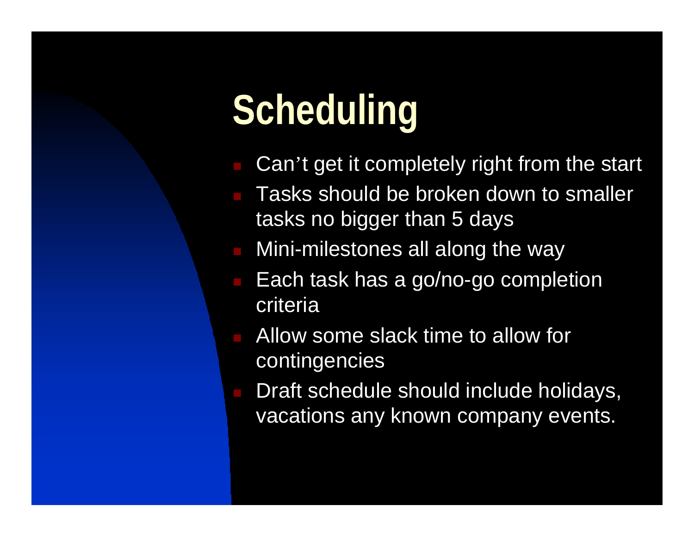# **Scheduling**

- Can't get it completely right from the start
- Tasks should be broken down to smaller tasks no bigger than 5 days
- Mini-milestones all along the way
- Each task has a go/no-go completion criteria
- <sup>n</sup> Allow some slack time to allow for contingencies
- Draft schedule should include holidays, vacations any known company events.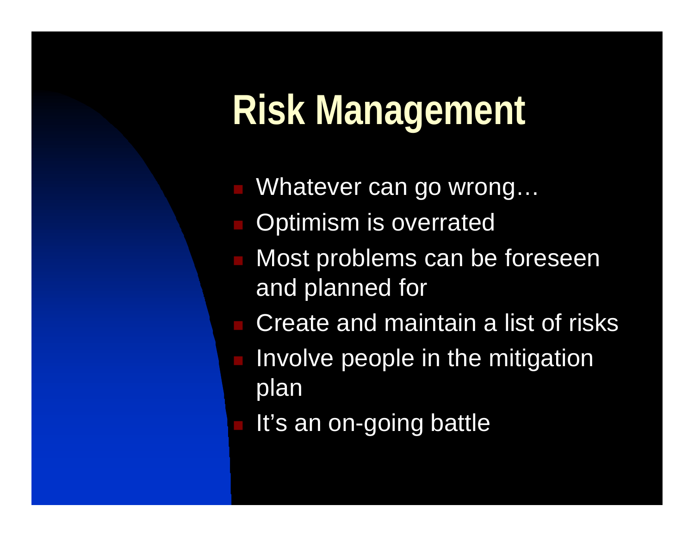## **Risk Management**

- Whatever can go wrong...
- Optimism is overrated
- Most problems can be foreseen and planned for
- Create and maintain a list of risks
- Involve people in the mitigation plan
	- It's an on-going battle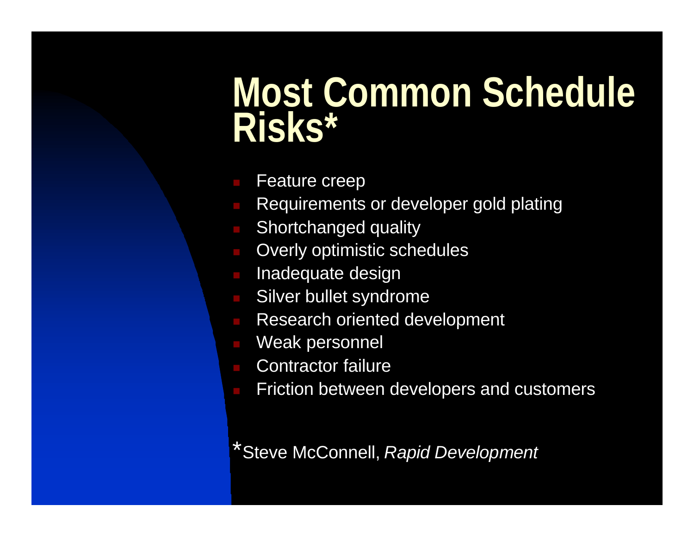## **Most Common Schedule Risks\***

- Feature creep
- Requirements or developer gold plating
- Shortchanged quality
- Overly optimistic schedules
- Inadequate design
- Silver bullet syndrome
- Research oriented development
- Weak personnel
- Contractor failure
- Friction between developers and customers

\*Steve McConnell, *Rapid Development*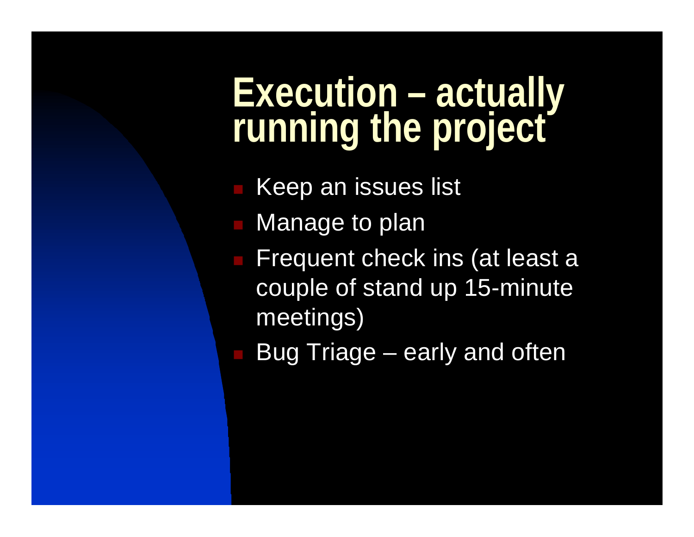## **Execution – actually running the project**

**Keep an issues list** 

- Manage to plan
- **Frequent check ins (at least a** couple of stand up 15-minute meetings)
	- Bug Triage early and often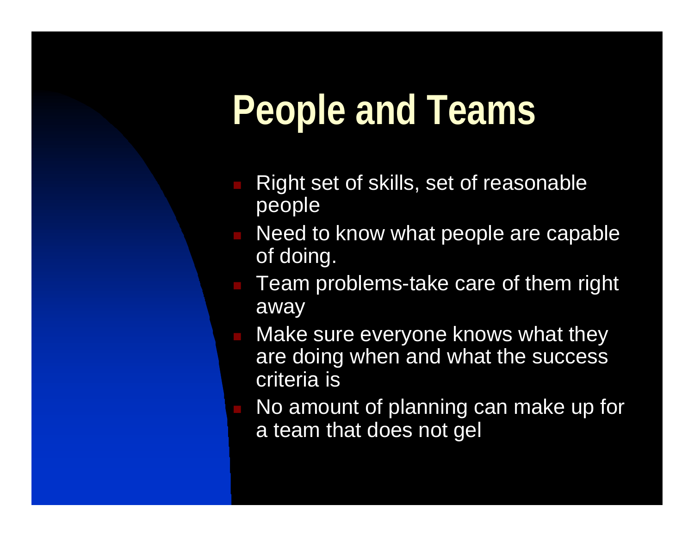# **People and Teams**

- Right set of skills, set of reasonable people
- Need to know what people are capable of doing.
- Team problems-take care of them right away
- Make sure everyone knows what they are doing when and what the success criteria is
- No amount of planning can make up for a team that does not gel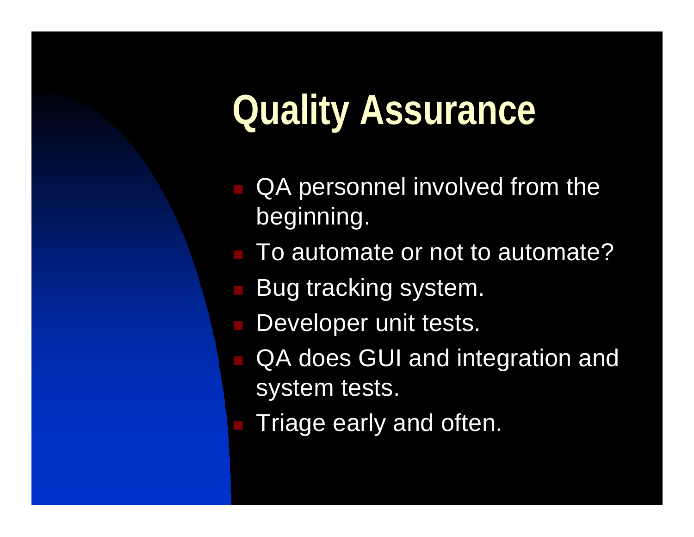# **Quality Assurance**

- QA personnel involved from the beginning.
- To automate or not to automate?
- Bug tracking system.
- **n** Developer unit tests.
- QA does GUI and integration and system tests.
	- Triage early and often.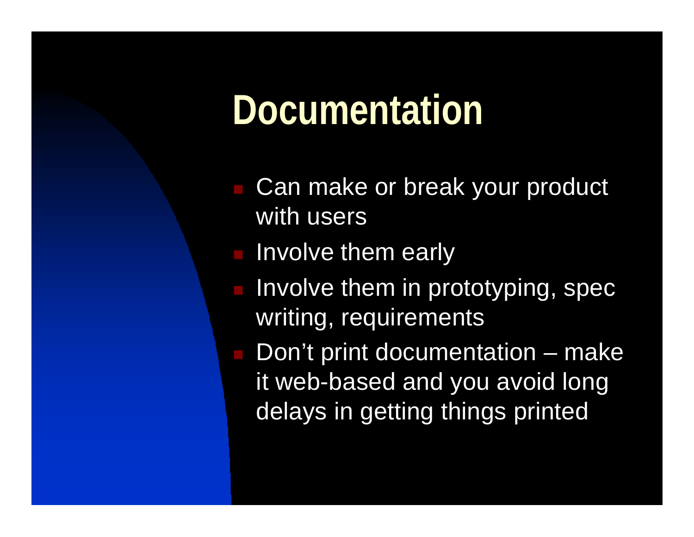## **Documentation**

- Can make or break your product with users
- Involve them early
- Involve them in prototyping, spec writing, requirements
- Don't print documentation make it web-based and you avoid long delays in getting things printed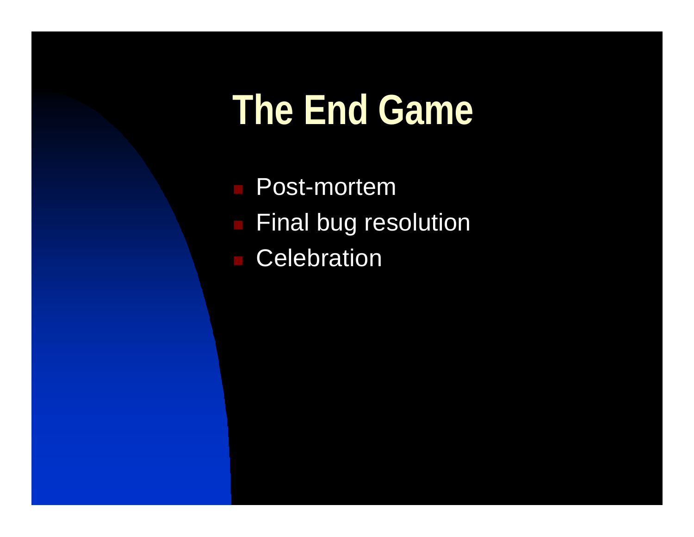## **The End Game**

**n** Post-mortem **Final bug resolution Celebration**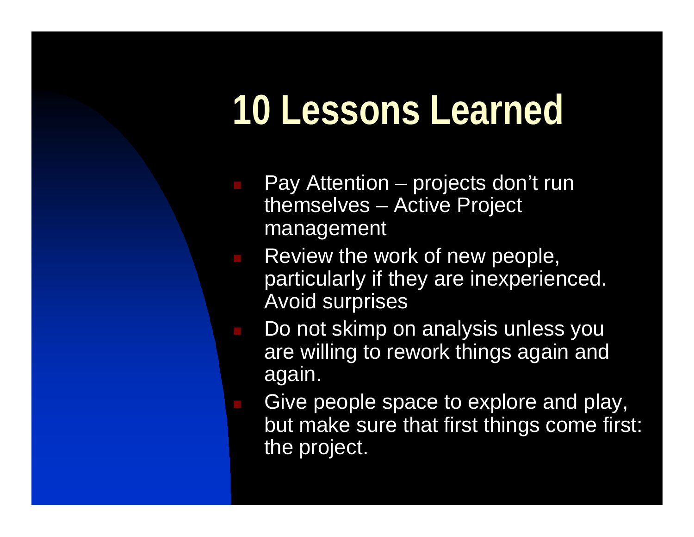## **10 Lessons Learned**

- Pay Attention projects don't run themselves – Active Project management
- Review the work of new people, particularly if they are inexperienced. Avoid surprises
- Do not skimp on analysis unless you are willing to rework things again and again.
- Give people space to explore and play, but make sure that first things come first: the project.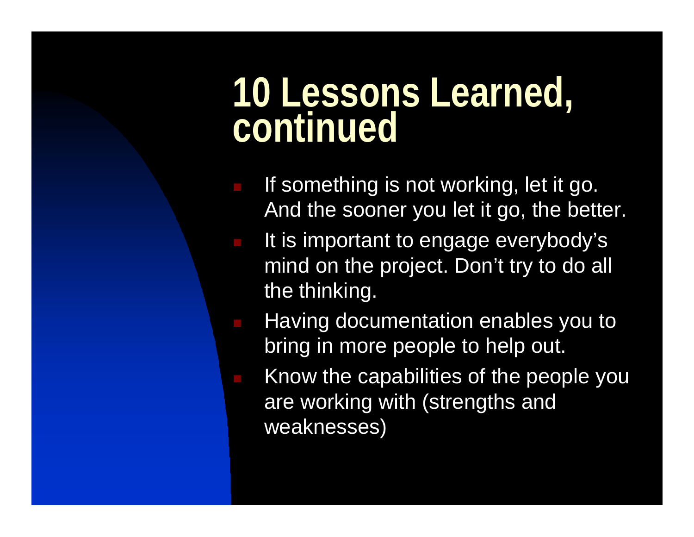### **10 Lessons Learned, continued**

- **n If something is not working, let it go.** And the sooner you let it go, the better.
	- It is important to engage everybody's mind on the project. Don't try to do all the thinking.
	- Having documentation enables you to bring in more people to help out.
	- Know the capabilities of the people you are working with (strengths and weaknesses)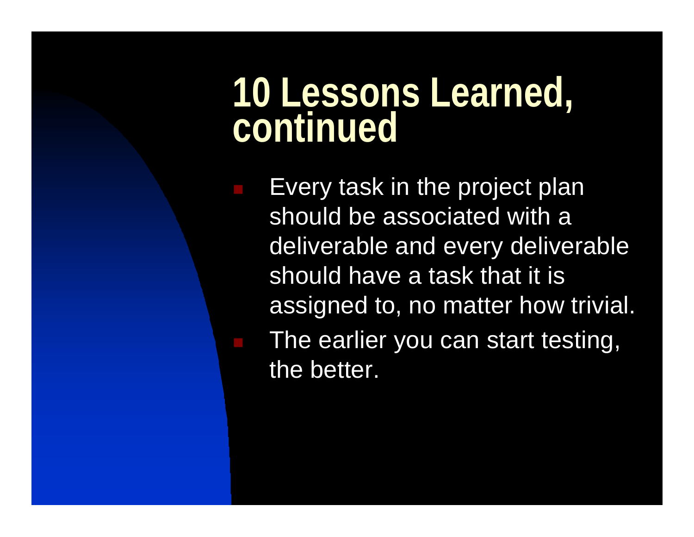### **10 Lessons Learned, continued**

Every task in the project plan should be associated with a deliverable and every deliverable should have a task that it is assigned to, no matter how trivial. n The earlier you can start testing, the better.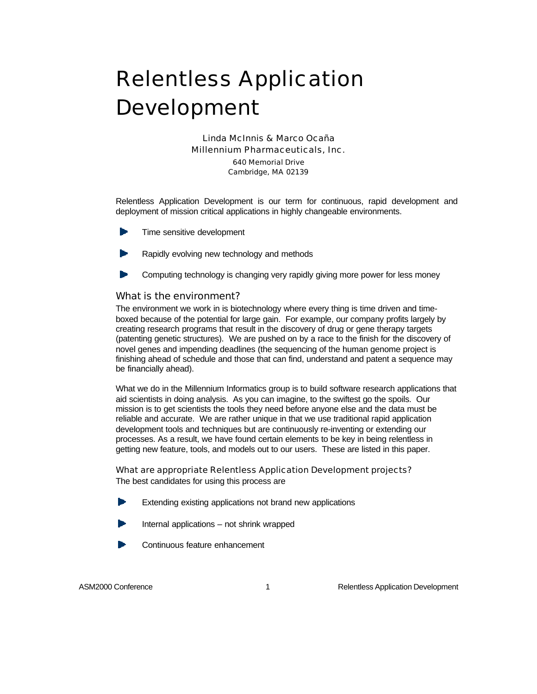### <span id="page-19-0"></span>Relentless Application Development

Linda McInnis & Marco Ocaña *Millennium Pharmaceuticals, Inc.* 640 Memorial Drive Cambridge, MA 02139

Relentless Application Development is our term for continuous, rapid development and deployment of mission critical applications in highly changeable environments.

- Time sensitive development
- Rapidly evolving new technology and methods
- Computing technology is changing very rapidly giving more power for less money

#### What is the environment?

The environment we work in is biotechnology where every thing is time driven and timeboxed because of the potential for large gain. For example, our company profits largely by creating research programs that result in the discovery of drug or gene therapy targets (patenting genetic structures). We are pushed on by a race to the finish for the discovery of novel genes and impending deadlines (the sequencing of the human genome project is finishing ahead of schedule and those that can find, understand and patent a sequence may be financially ahead).

What we do in the Millennium Informatics group is to build software research applications that aid scientists in doing analysis. As you can imagine, to the swiftest go the spoils. Our mission is to get scientists the tools they need before anyone else and the data must be reliable and accurate. We are rather unique in that we use traditional rapid application development tools and techniques but are continuously re-inventing or extending our processes. As a result, we have found certain elements to be key in being relentless in getting new feature, tools, and models out to our users. These are listed in this paper.

What are appropriate Relentless Application Development projects? The best candidates for using this process are

- Extending existing applications not brand new applications
- Internal applications not shrink wrapped
- Continuous feature enhancement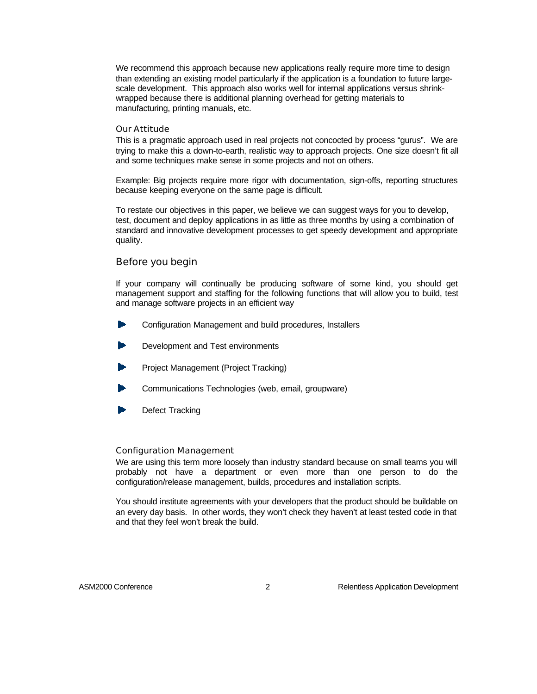We recommend this approach because new applications really require more time to design than extending an existing model particularly if the application is a foundation to future largescale development. This approach also works well for internal applications versus shrinkwrapped because there is additional planning overhead for getting materials to manufacturing, printing manuals, etc.

#### Our Attitude

This is a pragmatic approach used in real projects not concocted by process "gurus". We are trying to make this a down-to-earth, realistic way to approach projects. One size doesn't fit all and some techniques make sense in some projects and not on others.

Example: Big projects require more rigor with documentation, sign-offs, reporting structures because keeping everyone on the same page is difficult.

To restate our objectives in this paper, we believe we can suggest ways for you to develop, test, document and deploy applications in as little as three months by using a combination of standard and innovative development processes to get speedy development and appropriate quality.

#### Before you begin

If your company will continually be producing software of some kind, you should get management support and staffing for the following functions that will allow you to build, test and manage software projects in an efficient way

- Configuration Management and build procedures, Installers
- Development and Test environments
- Project Management (Project Tracking)
- Communications Technologies (web, email, groupware)
- Defect Tracking

#### Configuration Management

We are using this term more loosely than industry standard because on small teams you will probably not have a department or even more than one person to do the configuration/release management, builds, procedures and installation scripts.

You should institute agreements with your developers that the product should be buildable on an every day basis. In other words, they won't check they haven't at least tested code in that and that they feel won't break the build.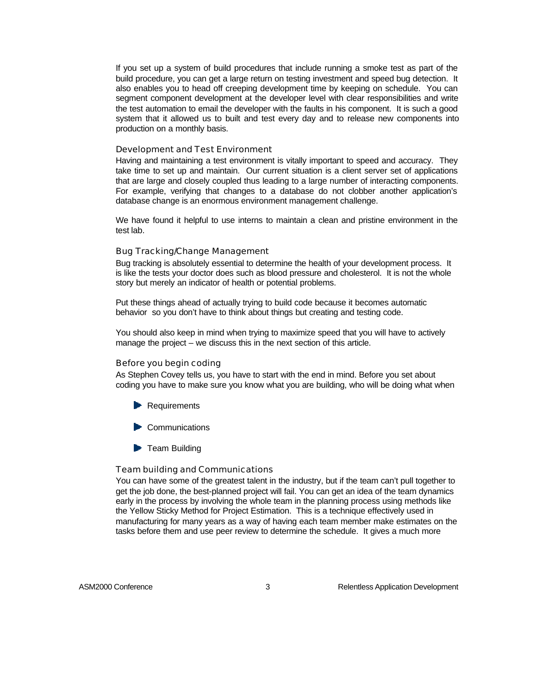If you set up a system of build procedures that include running a smoke test as part of the build procedure, you can get a large return on testing investment and speed bug detection. It also enables you to head off creeping development time by keeping on schedule. You can segment component development at the developer level with clear responsibilities and write the test automation to email the developer with the faults in his component. It is such a good system that it allowed us to built and test every day and to release new components into production on a monthly basis.

#### Development and Test Environment

Having and maintaining a test environment is vitally important to speed and accuracy. They take time to set up and maintain. Our current situation is a client server set of applications that are large and closely coupled thus leading to a large number of interacting components. For example, verifying that changes to a database do not clobber another application's database change is an enormous environment management challenge.

We have found it helpful to use interns to maintain a clean and pristine environment in the test lab.

#### Bug Tracking/Change Management

Bug tracking is absolutely essential to determine the health of your development process. It is like the tests your doctor does such as blood pressure and cholesterol. It is not the whole story but merely an indicator of health or potential problems.

Put these things ahead of actually trying to build code because it becomes automatic behavior so you don't have to think about things but creating and testing code.

You should also keep in mind when trying to maximize speed that you will have to actively manage the project – we discuss this in the next section of this article.

#### Before you begin coding

As Stephen Covey tells us, you have to start with the end in mind. Before you set about coding you have to make sure you know what you are building, who will be doing what when

- **Requirements**
- $\blacktriangleright$  Communications
- **Team Building**

#### Team building and Communications

You can have some of the greatest talent in the industry, but if the team can't pull together to get the job done, the best-planned project will fail. You can get an idea of the team dynamics early in the process by involving the whole team in the planning process using methods like the Yellow Sticky Method for Project Estimation. This is a technique effectively used in manufacturing for many years as a way of having each team member make estimates on the tasks before them and use peer review to determine the schedule. It gives a much more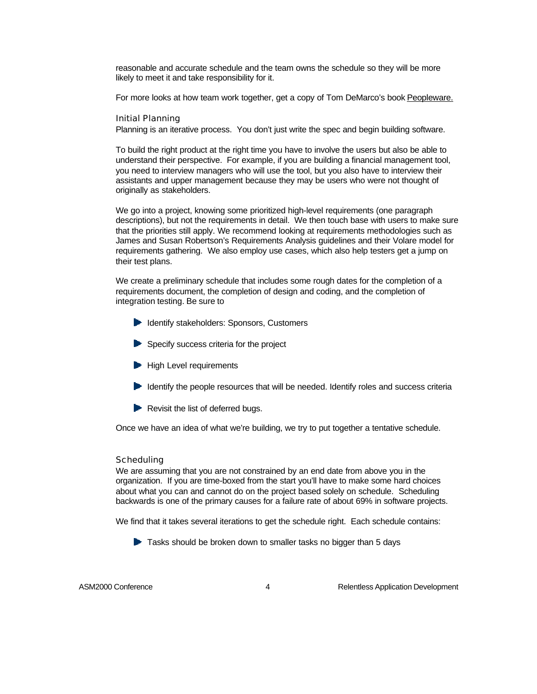reasonable and accurate schedule and the team owns the schedule so they will be more likely to meet it and take responsibility for it.

For more looks at how team work together, get a copy of Tom DeMarco's book Peopleware.

#### Initial Planning

Planning is an iterative process. You don't just write the spec and begin building software.

To build the right product at the right time you have to involve the users but also be able to understand their perspective. For example, if you are building a financial management tool, you need to interview managers who will use the tool, but you also have to interview their assistants and upper management because they may be users who were not thought of originally as stakeholders.

We go into a project, knowing some prioritized high-level requirements (one paragraph descriptions), but not the requirements in detail. We then touch base with users to make sure that the priorities still apply. We recommend looking at requirements methodologies such as James and Susan Robertson's Requirements Analysis guidelines and their Volare model for requirements gathering. We also employ use cases, which also help testers get a jump on their test plans.

We create a preliminary schedule that includes some rough dates for the completion of a requirements document, the completion of design and coding, and the completion of integration testing. Be sure to

- Identify stakeholders: Sponsors, Customers
- Specify success criteria for the project
- **High Level requirements**
- $\blacktriangleright$  Identify the people resources that will be needed. Identify roles and success criteria
- $\blacktriangleright$  Revisit the list of deferred bugs.

Once we have an idea of what we're building, we try to put together a tentative schedule.

#### Scheduling

We are assuming that you are not constrained by an end date from above you in the organization. If you are time-boxed from the start you'll have to make some hard choices about what you can and cannot do on the project based solely on schedule. Scheduling backwards is one of the primary causes for a failure rate of about 69% in software projects.

We find that it takes several iterations to get the schedule right. Each schedule contains:

 $\blacktriangleright$  Tasks should be broken down to smaller tasks no bigger than 5 days

ASM2000 Conference 4 Relentless Application Development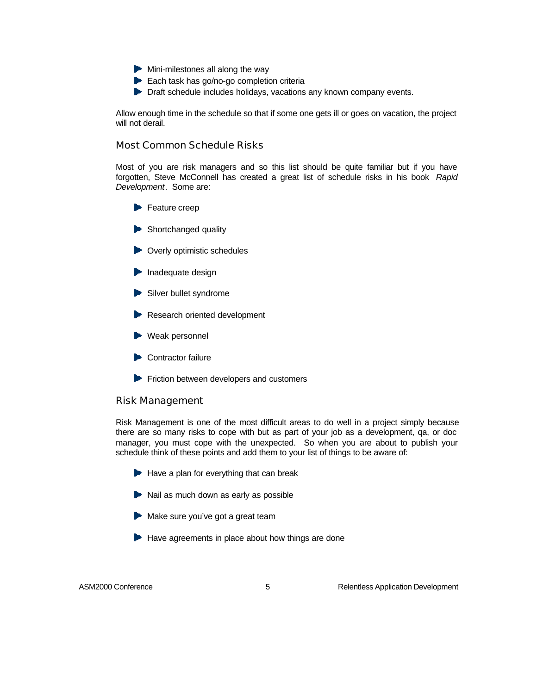- $\blacktriangleright$  Mini-milestones all along the way
- Each task has go/no-go completion criteria
- **Draft schedule includes holidays, vacations any known company events.**

Allow enough time in the schedule so that if some one gets ill or goes on vacation, the project will not derail.

#### Most Common Schedule Risks

Most of you are risk managers and so this list should be quite familiar but if you have forgotten, Steve McConnell has created a great list of schedule risks in his book *Rapid Development*. Some are:

- $\blacktriangleright$  Feature creep
- Shortchanged quality
- **Diverly optimistic schedules**
- $\blacktriangleright$  Inadequate design
- Silver bullet syndrome
- **Research oriented development**
- Weak personnel
- Contractor failure
- $\blacktriangleright$  Friction between developers and customers

#### Risk Management

Risk Management is one of the most difficult areas to do well in a project simply because there are so many risks to cope with but as part of your job as a development, qa, or doc manager, you must cope with the unexpected. So when you are about to publish your schedule think of these points and add them to your list of things to be aware of:

- $\blacktriangleright$  Have a plan for everything that can break
- $\blacktriangleright$  Nail as much down as early as possible
- Make sure you've got a great team
- $\blacktriangleright$  Have agreements in place about how things are done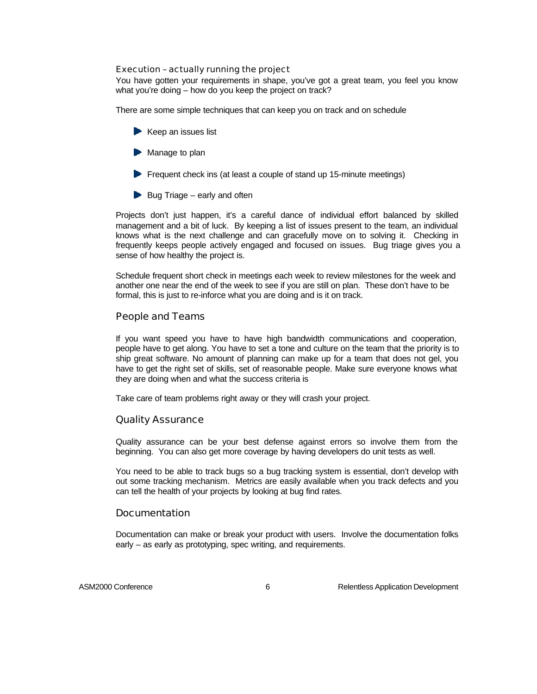Execution – actually running the project

You have gotten your requirements in shape, you've got a great team, you feel you know what you're doing – how do you keep the project on track?

There are some simple techniques that can keep you on track and on schedule

- $\blacktriangleright$  Keep an issues list
- $\blacktriangleright$  Manage to plan
- $\blacktriangleright$  Frequent check ins (at least a couple of stand up 15-minute meetings)
- $\blacktriangleright$  Bug Triage early and often

Projects don't just happen, it's a careful dance of individual effort balanced by skilled management and a bit of luck. By keeping a list of issues present to the team, an individual knows what is the next challenge and can gracefully move on to solving it. Checking in frequently keeps people actively engaged and focused on issues. Bug triage gives you a sense of how healthy the project is.

Schedule frequent short check in meetings each week to review milestones for the week and another one near the end of the week to see if you are still on plan. These don't have to be formal, this is just to re-inforce what you are doing and is it on track.

#### People and Teams

If you want speed you have to have high bandwidth communications and cooperation, people have to get along. You have to set a tone and culture on the team that the priority is to ship great software. No amount of planning can make up for a team that does not gel, you have to get the right set of skills, set of reasonable people. Make sure everyone knows what they are doing when and what the success criteria is

Take care of team problems right away or they will crash your project.

#### Quality Assurance

Quality assurance can be your best defense against errors so involve them from the beginning. You can also get more coverage by having developers do unit tests as well.

You need to be able to track bugs so a bug tracking system is essential, don't develop with out some tracking mechanism. Metrics are easily available when you track defects and you can tell the health of your projects by looking at bug find rates.

#### Documentation

Documentation can make or break your product with users. Involve the documentation folks early – as early as prototyping, spec writing, and requirements.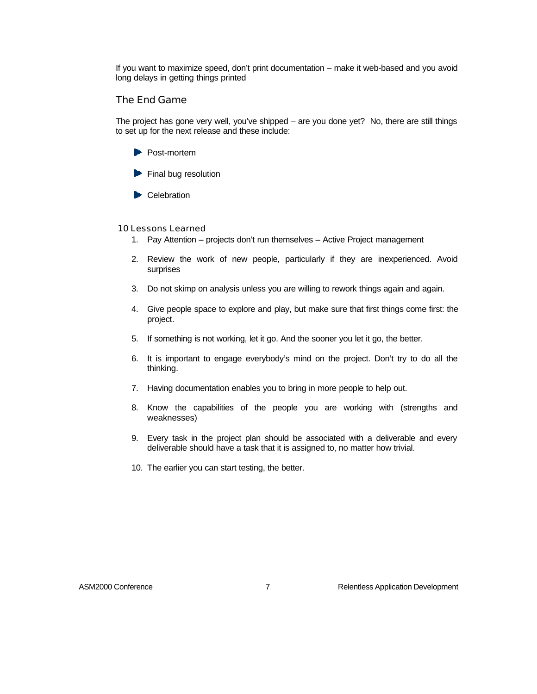If you want to maximize speed, don't print documentation – make it web-based and you avoid long delays in getting things printed

#### The End Game

The project has gone very well, you've shipped – are you done yet? No, there are still things to set up for the next release and these include:

- **Post-mortem**
- $\blacktriangleright$  Final bug resolution
- **Celebration**

#### 10 Lessons Learned

- 1. Pay Attention projects don't run themselves Active Project management
- 2. Review the work of new people, particularly if they are inexperienced. Avoid surprises
- 3. Do not skimp on analysis unless you are willing to rework things again and again.
- 4. Give people space to explore and play, but make sure that first things come first: the project.
- 5. If something is not working, let it go. And the sooner you let it go, the better.
- 6. It is important to engage everybody's mind on the project. Don't try to do all the thinking.
- 7. Having documentation enables you to bring in more people to help out.
- 8. Know the capabilities of the people you are working with (strengths and weaknesses)
- 9. Every task in the project plan should be associated with a deliverable and every deliverable should have a task that it is assigned to, no matter how trivial.
- 10. The earlier you can start testing, the better.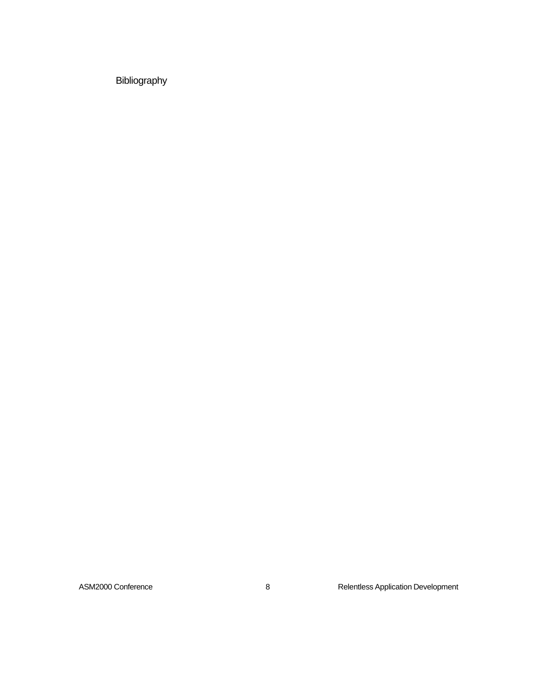Bibliography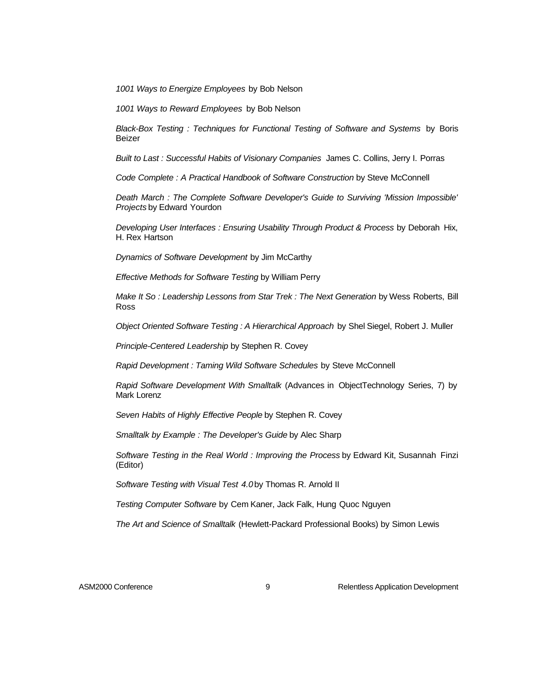*1001 Ways to Energize Employees* by Bob Nelson

*1001 Ways to Reward Employees* by Bob Nelson

*Black-Box Testing : Techniques for Functional Testing of Software and Systems* by Boris Beizer

*Built to Last : Successful Habits of Visionary Companies* James C. Collins, Jerry I. Porras

*Code Complete : A Practical Handbook of Software Construction* by Steve McConnell

*Death March : The Complete Software Developer's Guide to Surviving 'Mission Impossible' Projects* by Edward Yourdon

*Developing User Interfaces : Ensuring Usability Through Product & Process* by Deborah Hix, H. Rex Hartson

*Dynamics of Software Development* by Jim McCarthy

*Effective Methods for Software Testing* by William Perry

*Make It So : Leadership Lessons from Star Trek : The Next Generation* by Wess Roberts, Bill Ross

*Object Oriented Software Testing : A Hierarchical Approach* by Shel Siegel, Robert J. Muller

*Principle-Centered Leadership* by Stephen R. Covey

*Rapid Development : Taming Wild Software Schedules* by Steve McConnell

*Rapid Software Development With Smalltalk* (Advances in ObjectTechnology Series, 7) by Mark Lorenz

*Seven Habits of Highly Effective People* by Stephen R. Covey

*Smalltalk by Example : The Developer's Guide* by Alec Sharp

*Software Testing in the Real World : Improving the Process* by Edward Kit, Susannah Finzi (Editor)

*Software Testing with Visual Test 4.0* by Thomas R. Arnold II

*Testing Computer Software* by Cem Kaner, Jack Falk, Hung Quoc Nguyen

*The Art and Science of Smalltalk* (Hewlett-Packard Professional Books) by Simon Lewis

ASM2000 Conference **Accord 20 Accord 20 Accord 20 Accord 20 Accord 20 Accord 20 Accord 20 Accord 20 Accord 20 Accord 20 Accord 20 Accord 20 Accord 20 Accord 20 Accord 20 Accord 20 Accord 20 Accord 20 Accord 20 Accord 20 Ac**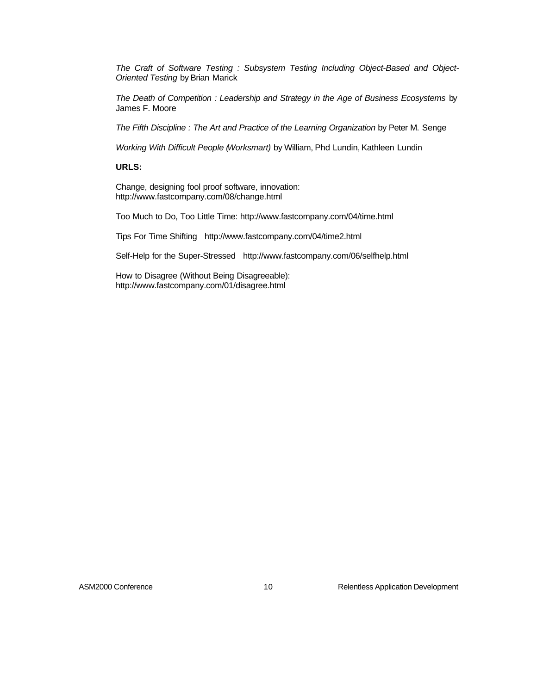*The Craft of Software Testing : Subsystem Testing Including Object-Based and Object-Oriented Testing* by Brian Marick

*The Death of Competition : Leadership and Strategy in the Age of Business Ecosystems* by James F. Moore

*The Fifth Discipline : The Art and Practice of the Learning Organization* by Peter M. Senge

*Working With Difficult People (Worksmart)* by William, Phd Lundin, Kathleen Lundin

#### **URLS:**

Change, designing fool proof software, innovation: http://www.fastcompany.com/08/change.html

Too Much to Do, Too Little Time: http://www.fastcompany.com/04/time.html

Tips For Time Shifting http://www.fastcompany.com/04/time2.html

Self-Help for the Super-Stressed http://www.fastcompany.com/06/selfhelp.html

How to Disagree (Without Being Disagreeable): http://www.fastcompany.com/01/disagree.html